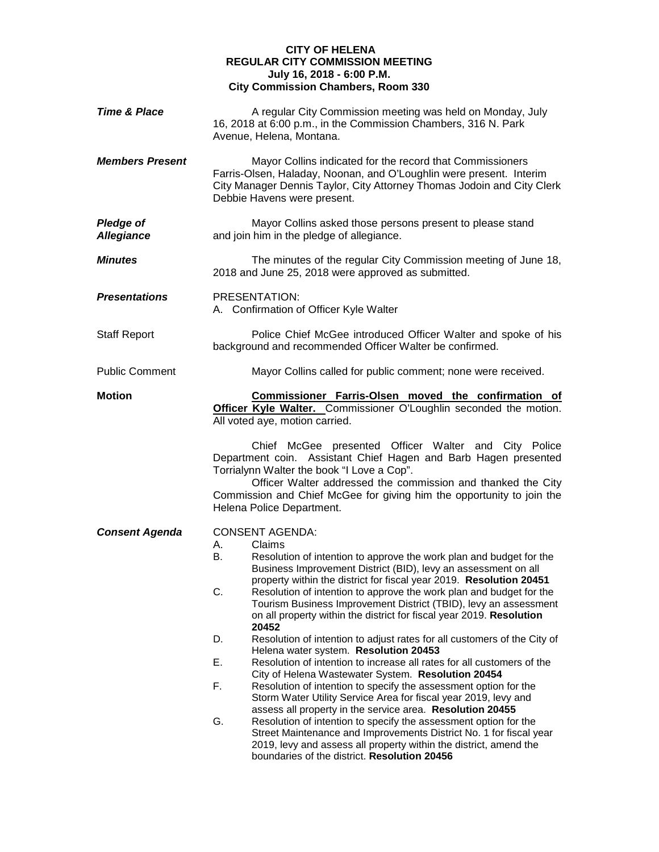## **CITY OF HELENA REGULAR CITY COMMISSION MEETING July 16, 2018 - 6:00 P.M. City Commission Chambers, Room 330**

| <b>Time &amp; Place</b>               | A regular City Commission meeting was held on Monday, July<br>16, 2018 at 6:00 p.m., in the Commission Chambers, 316 N. Park<br>Avenue, Helena, Montana.                                                                                                                                                                                                                                                                                                                                                                                                                                                                                                                                                  |
|---------------------------------------|-----------------------------------------------------------------------------------------------------------------------------------------------------------------------------------------------------------------------------------------------------------------------------------------------------------------------------------------------------------------------------------------------------------------------------------------------------------------------------------------------------------------------------------------------------------------------------------------------------------------------------------------------------------------------------------------------------------|
| <b>Members Present</b>                | Mayor Collins indicated for the record that Commissioners<br>Farris-Olsen, Haladay, Noonan, and O'Loughlin were present. Interim<br>City Manager Dennis Taylor, City Attorney Thomas Jodoin and City Clerk<br>Debbie Havens were present.                                                                                                                                                                                                                                                                                                                                                                                                                                                                 |
| <b>Pledge of</b><br><b>Allegiance</b> | Mayor Collins asked those persons present to please stand<br>and join him in the pledge of allegiance.                                                                                                                                                                                                                                                                                                                                                                                                                                                                                                                                                                                                    |
| <b>Minutes</b>                        | The minutes of the regular City Commission meeting of June 18,<br>2018 and June 25, 2018 were approved as submitted.                                                                                                                                                                                                                                                                                                                                                                                                                                                                                                                                                                                      |
| <b>Presentations</b>                  | PRESENTATION:<br>A. Confirmation of Officer Kyle Walter                                                                                                                                                                                                                                                                                                                                                                                                                                                                                                                                                                                                                                                   |
| <b>Staff Report</b>                   | Police Chief McGee introduced Officer Walter and spoke of his<br>background and recommended Officer Walter be confirmed.                                                                                                                                                                                                                                                                                                                                                                                                                                                                                                                                                                                  |
| <b>Public Comment</b>                 | Mayor Collins called for public comment; none were received.                                                                                                                                                                                                                                                                                                                                                                                                                                                                                                                                                                                                                                              |
| <b>Motion</b>                         | Commissioner Farris-Olsen moved the confirmation of<br>Officer Kyle Walter. Commissioner O'Loughlin seconded the motion.<br>All voted aye, motion carried.                                                                                                                                                                                                                                                                                                                                                                                                                                                                                                                                                |
|                                       | Chief McGee presented Officer Walter and City Police<br>Department coin. Assistant Chief Hagen and Barb Hagen presented<br>Torrialynn Walter the book "I Love a Cop".<br>Officer Walter addressed the commission and thanked the City<br>Commission and Chief McGee for giving him the opportunity to join the<br>Helena Police Department.                                                                                                                                                                                                                                                                                                                                                               |
| <b>Consent Agenda</b>                 | <b>CONSENT AGENDA:</b><br>Claims<br>А.<br>Resolution of intention to approve the work plan and budget for the<br>В.<br>Business Improvement District (BID), levy an assessment on all<br>property within the district for fiscal year 2019. Resolution 20451<br>C.<br>Resolution of intention to approve the work plan and budget for the<br>Tourism Business Improvement District (TBID), levy an assessment<br>on all property within the district for fiscal year 2019. Resolution<br>20452<br>Resolution of intention to adjust rates for all customers of the City of<br>D.<br>Helena water system. Resolution 20453<br>Ε.<br>Resolution of intention to increase all rates for all customers of the |
|                                       | City of Helena Wastewater System. Resolution 20454<br>F.<br>Resolution of intention to specify the assessment option for the<br>Storm Water Utility Service Area for fiscal year 2019, levy and                                                                                                                                                                                                                                                                                                                                                                                                                                                                                                           |
|                                       | assess all property in the service area. Resolution 20455<br>G.<br>Resolution of intention to specify the assessment option for the<br>Street Maintenance and Improvements District No. 1 for fiscal year<br>2019, levy and assess all property within the district, amend the<br>boundaries of the district. Resolution 20456                                                                                                                                                                                                                                                                                                                                                                            |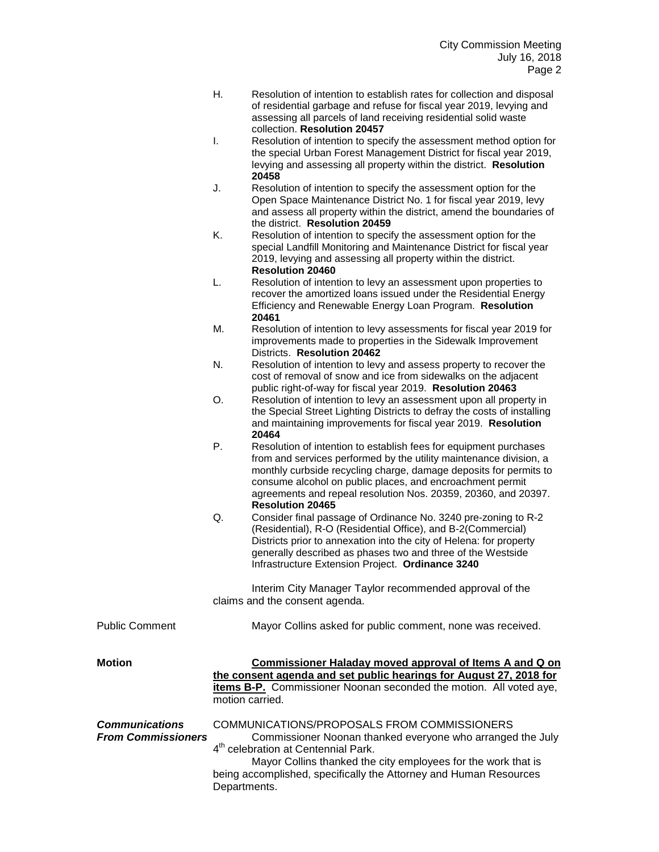- H. Resolution of intention to establish rates for collection and disposal of residential garbage and refuse for fiscal year 2019, levying and assessing all parcels of land receiving residential solid waste collection. **Resolution 20457**
- I. Resolution of intention to specify the assessment method option for the special Urban Forest Management District for fiscal year 2019, levying and assessing all property within the district. **Resolution 20458**
- J. Resolution of intention to specify the assessment option for the Open Space Maintenance District No. 1 for fiscal year 2019, levy and assess all property within the district, amend the boundaries of the district. **Resolution 20459**
- K. Resolution of intention to specify the assessment option for the special Landfill Monitoring and Maintenance District for fiscal year 2019, levying and assessing all property within the district. **Resolution 20460**
- L. Resolution of intention to levy an assessment upon properties to recover the amortized loans issued under the Residential Energy Efficiency and Renewable Energy Loan Program. **Resolution 20461**
- M. Resolution of intention to levy assessments for fiscal year 2019 for improvements made to properties in the Sidewalk Improvement Districts. **Resolution 20462**
- N. Resolution of intention to levy and assess property to recover the cost of removal of snow and ice from sidewalks on the adjacent public right-of-way for fiscal year 2019. **Resolution 20463**
- O. Resolution of intention to levy an assessment upon all property in the Special Street Lighting Districts to defray the costs of installing and maintaining improvements for fiscal year 2019. **Resolution 20464**
- P. Resolution of intention to establish fees for equipment purchases from and services performed by the utility maintenance division, a monthly curbside recycling charge, damage deposits for permits to consume alcohol on public places, and encroachment permit agreements and repeal resolution Nos. 20359, 20360, and 20397. **Resolution 20465**
- Q. Consider final passage of Ordinance No. 3240 pre-zoning to R-2 (Residential), R-O (Residential Office), and B-2(Commercial) Districts prior to annexation into the city of Helena: for property generally described as phases two and three of the Westside Infrastructure Extension Project. **Ordinance 3240**

Interim City Manager Taylor recommended approval of the claims and the consent agenda.

|                                                    | Claims and the consent agenda.                                                                                                                                                                                                |
|----------------------------------------------------|-------------------------------------------------------------------------------------------------------------------------------------------------------------------------------------------------------------------------------|
| <b>Public Comment</b>                              | Mayor Collins asked for public comment, none was received.                                                                                                                                                                    |
| <b>Motion</b>                                      | Commissioner Haladay moved approval of Items A and Q on<br>the consent agenda and set public hearings for August 27, 2018 for<br><b>items B-P.</b> Commissioner Noonan seconded the motion. All voted aye,<br>motion carried. |
| <b>Communications</b><br><b>From Commissioners</b> | COMMUNICATIONS/PROPOSALS FROM COMMISSIONERS<br>Commissioner Noonan thanked everyone who arranged the July<br>4 <sup>th</sup> celebration at Centennial Park.<br>Mayor Collins thanked the city employees for the work that is |

being accomplished, specifically the Attorney and Human Resources Departments.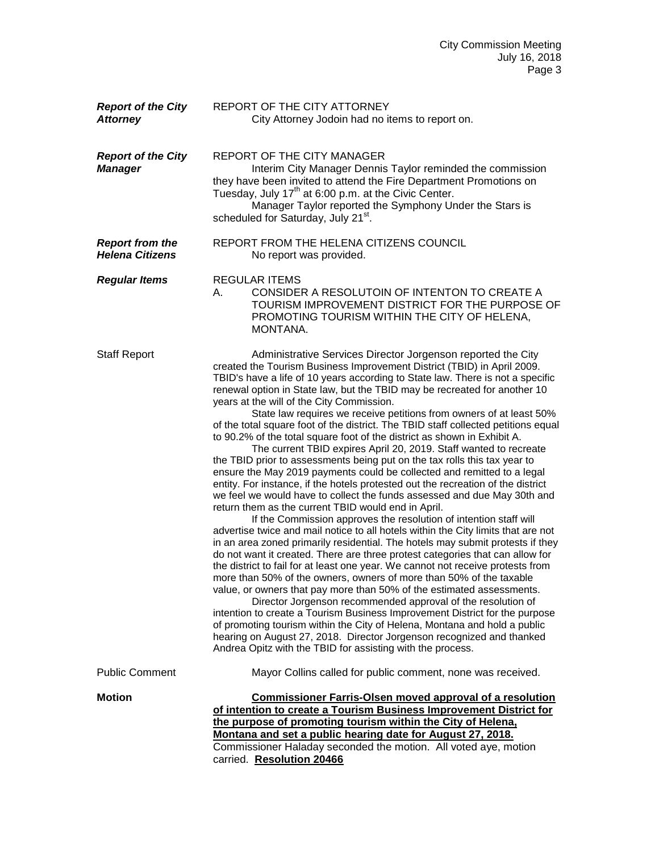| <b>Report of the City</b><br><b>Attorney</b>     | REPORT OF THE CITY ATTORNEY<br>City Attorney Jodoin had no items to report on.                                                                                                                                                                                                                                                                                                                                                                                                                                                                                                                                                                                                                                                                                                                                                                                                                                                                                                                                                                                                                                                                                                                                                                                                                                                                                                                                                                                                                                                                                                                                                                                                                                                                                                                                                                                                                                                                                                      |
|--------------------------------------------------|-------------------------------------------------------------------------------------------------------------------------------------------------------------------------------------------------------------------------------------------------------------------------------------------------------------------------------------------------------------------------------------------------------------------------------------------------------------------------------------------------------------------------------------------------------------------------------------------------------------------------------------------------------------------------------------------------------------------------------------------------------------------------------------------------------------------------------------------------------------------------------------------------------------------------------------------------------------------------------------------------------------------------------------------------------------------------------------------------------------------------------------------------------------------------------------------------------------------------------------------------------------------------------------------------------------------------------------------------------------------------------------------------------------------------------------------------------------------------------------------------------------------------------------------------------------------------------------------------------------------------------------------------------------------------------------------------------------------------------------------------------------------------------------------------------------------------------------------------------------------------------------------------------------------------------------------------------------------------------------|
| <b>Report of the City</b><br><b>Manager</b>      | REPORT OF THE CITY MANAGER<br>Interim City Manager Dennis Taylor reminded the commission<br>they have been invited to attend the Fire Department Promotions on<br>Tuesday, July 17 <sup>th</sup> at 6:00 p.m. at the Civic Center.<br>Manager Taylor reported the Symphony Under the Stars is<br>scheduled for Saturday, July 21st.                                                                                                                                                                                                                                                                                                                                                                                                                                                                                                                                                                                                                                                                                                                                                                                                                                                                                                                                                                                                                                                                                                                                                                                                                                                                                                                                                                                                                                                                                                                                                                                                                                                 |
| <b>Report from the</b><br><b>Helena Citizens</b> | REPORT FROM THE HELENA CITIZENS COUNCIL<br>No report was provided.                                                                                                                                                                                                                                                                                                                                                                                                                                                                                                                                                                                                                                                                                                                                                                                                                                                                                                                                                                                                                                                                                                                                                                                                                                                                                                                                                                                                                                                                                                                                                                                                                                                                                                                                                                                                                                                                                                                  |
| <b>Regular Items</b>                             | <b>REGULAR ITEMS</b><br>CONSIDER A RESOLUTOIN OF INTENTON TO CREATE A<br>А.<br>TOURISM IMPROVEMENT DISTRICT FOR THE PURPOSE OF<br>PROMOTING TOURISM WITHIN THE CITY OF HELENA,<br>MONTANA.                                                                                                                                                                                                                                                                                                                                                                                                                                                                                                                                                                                                                                                                                                                                                                                                                                                                                                                                                                                                                                                                                                                                                                                                                                                                                                                                                                                                                                                                                                                                                                                                                                                                                                                                                                                          |
| <b>Staff Report</b>                              | Administrative Services Director Jorgenson reported the City<br>created the Tourism Business Improvement District (TBID) in April 2009.<br>TBID's have a life of 10 years according to State law. There is not a specific<br>renewal option in State law, but the TBID may be recreated for another 10<br>years at the will of the City Commission.<br>State law requires we receive petitions from owners of at least 50%<br>of the total square foot of the district. The TBID staff collected petitions equal<br>to 90.2% of the total square foot of the district as shown in Exhibit A.<br>The current TBID expires April 20, 2019. Staff wanted to recreate<br>the TBID prior to assessments being put on the tax rolls this tax year to<br>ensure the May 2019 payments could be collected and remitted to a legal<br>entity. For instance, if the hotels protested out the recreation of the district<br>we feel we would have to collect the funds assessed and due May 30th and<br>return them as the current TBID would end in April.<br>If the Commission approves the resolution of intention staff will<br>advertise twice and mail notice to all hotels within the City limits that are not<br>in an area zoned primarily residential. The hotels may submit protests if they<br>do not want it created. There are three protest categories that can allow for<br>the district to fail for at least one year. We cannot not receive protests from<br>more than 50% of the owners, owners of more than 50% of the taxable<br>value, or owners that pay more than 50% of the estimated assessments.<br>Director Jorgenson recommended approval of the resolution of<br>intention to create a Tourism Business Improvement District for the purpose<br>of promoting tourism within the City of Helena, Montana and hold a public<br>hearing on August 27, 2018. Director Jorgenson recognized and thanked<br>Andrea Opitz with the TBID for assisting with the process. |
| <b>Public Comment</b>                            | Mayor Collins called for public comment, none was received.                                                                                                                                                                                                                                                                                                                                                                                                                                                                                                                                                                                                                                                                                                                                                                                                                                                                                                                                                                                                                                                                                                                                                                                                                                                                                                                                                                                                                                                                                                                                                                                                                                                                                                                                                                                                                                                                                                                         |
| <b>Motion</b>                                    | <b>Commissioner Farris-Olsen moved approval of a resolution</b><br>of intention to create a Tourism Business Improvement District for<br>the purpose of promoting tourism within the City of Helena,<br>Montana and set a public hearing date for August 27, 2018.<br>Commissioner Haladay seconded the motion. All voted aye, motion<br>carried. Resolution 20466                                                                                                                                                                                                                                                                                                                                                                                                                                                                                                                                                                                                                                                                                                                                                                                                                                                                                                                                                                                                                                                                                                                                                                                                                                                                                                                                                                                                                                                                                                                                                                                                                  |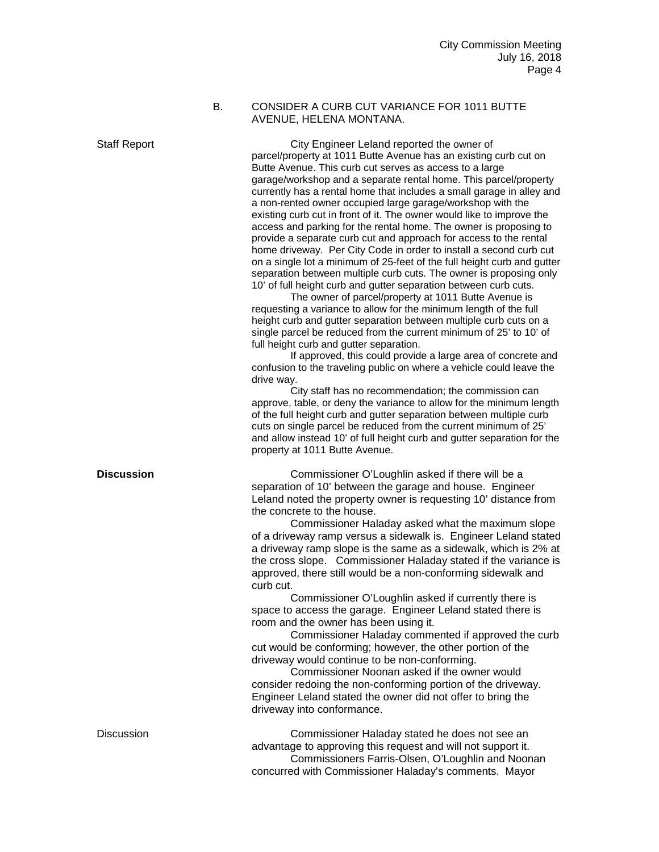## B. CONSIDER A CURB CUT VARIANCE FOR 1011 BUTTE AVENUE, HELENA MONTANA.

Staff Report City Engineer Leland reported the owner of parcel/property at 1011 Butte Avenue has an existing curb cut on Butte Avenue. This curb cut serves as access to a large garage/workshop and a separate rental home. This parcel/property currently has a rental home that includes a small garage in alley and a non-rented owner occupied large garage/workshop with the existing curb cut in front of it. The owner would like to improve the access and parking for the rental home. The owner is proposing to provide a separate curb cut and approach for access to the rental home driveway. Per City Code in order to install a second curb cut on a single lot a minimum of 25-feet of the full height curb and gutter separation between multiple curb cuts. The owner is proposing only 10' of full height curb and gutter separation between curb cuts.

The owner of parcel/property at 1011 Butte Avenue is requesting a variance to allow for the minimum length of the full height curb and gutter separation between multiple curb cuts on a single parcel be reduced from the current minimum of 25' to 10' of full height curb and gutter separation.

If approved, this could provide a large area of concrete and confusion to the traveling public on where a vehicle could leave the drive way.

City staff has no recommendation; the commission can approve, table, or deny the variance to allow for the minimum length of the full height curb and gutter separation between multiple curb cuts on single parcel be reduced from the current minimum of 25' and allow instead 10' of full height curb and gutter separation for the property at 1011 Butte Avenue.

**Discussion** Commissioner O'Loughlin asked if there will be a separation of 10' between the garage and house. Engineer Leland noted the property owner is requesting 10' distance from the concrete to the house.

> Commissioner Haladay asked what the maximum slope of a driveway ramp versus a sidewalk is. Engineer Leland stated a driveway ramp slope is the same as a sidewalk, which is 2% at the cross slope. Commissioner Haladay stated if the variance is approved, there still would be a non-conforming sidewalk and curb cut.

Commissioner O'Loughlin asked if currently there is space to access the garage. Engineer Leland stated there is room and the owner has been using it.

Commissioner Haladay commented if approved the curb cut would be conforming; however, the other portion of the driveway would continue to be non-conforming.

Commissioner Noonan asked if the owner would consider redoing the non-conforming portion of the driveway. Engineer Leland stated the owner did not offer to bring the driveway into conformance.

Discussion Commissioner Haladay stated he does not see an advantage to approving this request and will not support it. Commissioners Farris-Olsen, O'Loughlin and Noonan concurred with Commissioner Haladay's comments. Mayor